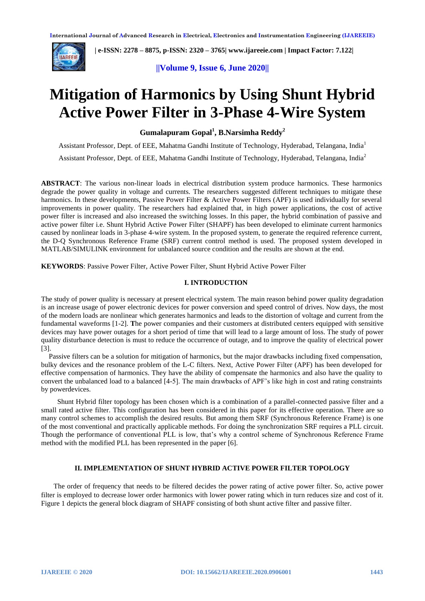

 **| e-ISSN: 2278 – 8875, p-ISSN: 2320 – 3765| [www.ijareeie.com](http://www.ijareeie.com/) | Impact Factor: 7.122|** 

**||Volume 9, Issue 6, June 2020||** 

# **Mitigation of Harmonics by Using Shunt Hybrid Active Power Filter in 3-Phase 4-Wire System**

**Gumalapuram Gopal<sup>1</sup> , B.Narsimha Reddy<sup>2</sup>**

Assistant Professor, Dept. of EEE, Mahatma Gandhi Institute of Technology, Hyderabad, Telangana, India<sup>1</sup>

Assistant Professor, Dept. of EEE, Mahatma Gandhi Institute of Technology, Hyderabad, Telangana, India<sup>2</sup>

**ABSTRACT**: The various non-linear loads in electrical distribution system produce harmonics. These harmonics degrade the power quality in voltage and currents. The researchers suggested different techniques to mitigate these harmonics. In these developments, Passive Power Filter & Active Power Filters (APF) is used individually for several improvements in power quality. The researchers had explained that, in high power applications, the cost of active power filter is increased and also increased the switching losses. In this paper, the hybrid combination of passive and active power filter i.e. Shunt Hybrid Active Power Filter (SHAPF) has been developed to eliminate current harmonics caused by nonlinear loads in 3-phase 4-wire system. In the proposed system, to generate the required reference current, the D-Q Synchronous Reference Frame (SRF) current control method is used. The proposed system developed in MATLAB/SIMULINK environment for unbalanced source condition and the results are shown at the end.

**KEYWORDS**: Passive Power Filter, Active Power Filter, Shunt Hybrid Active Power Filter

#### **I. INTRODUCTION**

The study of power quality is necessary at present electrical system. The main reason behind power quality degradation is an increase usage of power electronic devices for power conversion and speed control of drives. Now days, the most of the modern loads are nonlinear which generates harmonics and leads to the distortion of voltage and current from the fundamental waveforms [1-2]. **T**he power companies and their customers at distributed centers equipped with sensitive devices may have power outages for a short period of time that will lead to a large amount of loss. The study of power quality disturbance detection is must to reduce the occurrence of outage, and to improve the quality of electrical power [3].

Passive filters can be a solution for mitigation of harmonics, but the major drawbacks including fixed compensation, bulky devices and the resonance problem of the L-C filters. Next, Active Power Filter (APF) has been developed for effective compensation of harmonics. They have the ability of compensate the harmonics and also have the quality to convert the unbalanced load to a balanced [4-5]. The main drawbacks of APF's like high in cost and rating constraints by powerdevices.

 Shunt Hybrid filter topology has been chosen which is a combination of a parallel-connected passive filter and a small rated active filter. This configuration has been considered in this paper for its effective operation. There are so many control schemes to accomplish the desired results. But among them SRF (Synchronous Reference Frame) is one of the most conventional and practically applicable methods. For doing the synchronization SRF requires a PLL circuit. Though the performance of conventional PLL is low, that's why a control scheme of Synchronous Reference Frame method with the modified PLL has been represented in the paper [6].

### **II. IMPLEMENTATION OF SHUNT HYBRID ACTIVE POWER FILTER TOPOLOGY**

 The order of frequency that needs to be filtered decides the power rating of active power filter. So, active power filter is employed to decrease lower order harmonics with lower power rating which in turn reduces size and cost of it. Figure 1 depicts the general block diagram of SHAPF consisting of both shunt active filter and passive filter.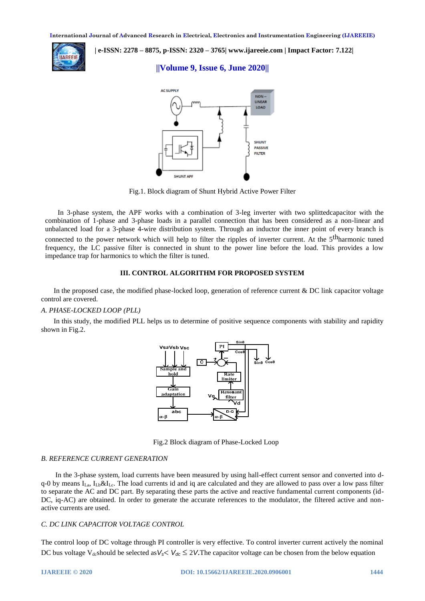

 **| e-ISSN: 2278 – 8875, p-ISSN: 2320 – 3765| [www.ijareeie.com](http://www.ijareeie.com/) | Impact Factor: 7.122|** 

## **||Volume 9, Issue 6, June 2020||**



Fig.1. Block diagram of Shunt Hybrid Active Power Filter

 In 3-phase system, the APF works with a combination of 3-leg inverter with two splittedcapacitor with the combination of 1-phase and 3-phase loads in a parallel connection that has been considered as a non-linear and unbalanced load for a 3-phase 4-wire distribution system. Through an inductor the inner point of every branch is connected to the power network which will help to filter the ripples of inverter current. At the 5<sup>th</sup>harmonic tuned frequency, the LC passive filter is connected in shunt to the power line before the load. This provides a low impedance trap for harmonics to which the filter is tuned.

### **III. CONTROL ALGORITHM FOR PROPOSED SYSTEM**

 In the proposed case, the modified phase-locked loop, generation of reference current & DC link capacitor voltage control are covered.

### *A. PHASE-LOCKED LOOP (PLL)*

 In this study, the modified PLL helps us to determine of positive sequence components with stability and rapidity shown in Fig.2.



Fig.2 Block diagram of Phase-Locked Loop

#### *B. REFERENCE CURRENT GENERATION*

 In the 3-phase system, load currents have been measured by using hall-effect current sensor and converted into dq-0 by means  $I_{La}$ ,  $I_{Lb} \& I_{Lc}$ . The load currents id and iq are calculated and they are allowed to pass over a low pass filter to separate the AC and DC part. By separating these parts the active and reactive fundamental current components (id-DC, iq-AC) are obtained. In order to generate the accurate references to the modulator, the filtered active and nonactive currents are used.

#### *C. DC LINK CAPACITOR VOLTAGE CONTROL*

The control loop of DC voltage through PI controller is very effective. To control inverter current actively the nominal DC bus voltage V<sub>dc</sub>should be selected as  $V_s < V_{dc} \le 2V$ . The capacitor voltage can be chosen from the below equation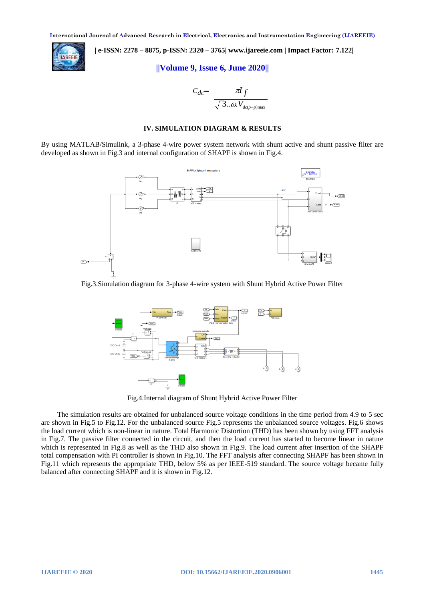

 **| e-ISSN: 2278 – 8875, p-ISSN: 2320 – 3765| [www.ijareeie.com](http://www.ijareeie.com/) | Impact Factor: 7.122|** 

**||Volume 9, Issue 6, June 2020||** 

$$
C_{dc} = \frac{\pi I_f}{\sqrt{3... \omega V_{dc(p-p) \max}}}
$$

### **IV. SIMULATION DIAGRAM & RESULTS**

By using MATLAB/Simulink, a 3-phase 4-wire power system network with shunt active and shunt passive filter are developed as shown in Fig.3 and internal configuration of SHAPF is shown in Fig.4.



Fig.3.Simulation diagram for 3-phase 4-wire system with Shunt Hybrid Active Power Filter



Fig.4.Internal diagram of Shunt Hybrid Active Power Filter

 The simulation results are obtained for unbalanced source voltage conditions in the time period from 4.9 to 5 sec are shown in Fig.5 to Fig.12. For the unbalanced source Fig.5 represents the unbalanced source voltages. Fig.6 shows the load current which is non-linear in nature. Total Harmonic Distortion (THD) has been shown by using FFT analysis in Fig.7. The passive filter connected in the circuit, and then the load current has started to become linear in nature which is represented in Fig.8 as well as the THD also shown in Fig.9. The load current after insertion of the SHAPF total compensation with PI controller is shown in Fig.10. The FFT analysis after connecting SHAPF has been shown in Fig.11 which represents the appropriate THD, below 5% as per IEEE-519 standard. The source voltage became fully balanced after connecting SHAPF and it is shown in Fig.12.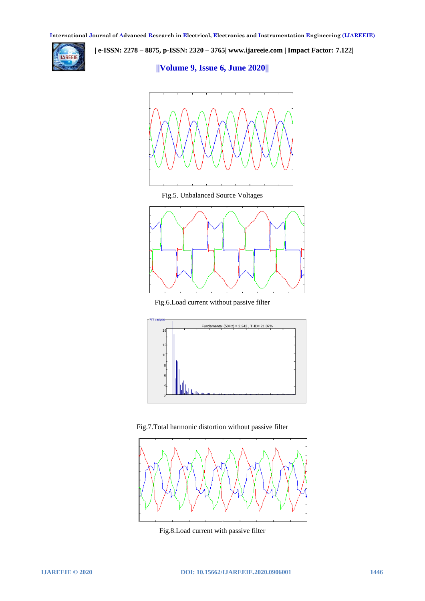

 **| e-ISSN: 2278 – 8875, p-ISSN: 2320 – 3765| [www.ijareeie.com](http://www.ijareeie.com/) | Impact Factor: 7.122|** 

**||Volume 9, Issue 6, June 2020||** 



Fig.5. Unbalanced Source Voltages



Fig.6.Load current without passive filter



Fig.7. Total harmonic distortion without passive filter



Fig.8.Load current with passive filter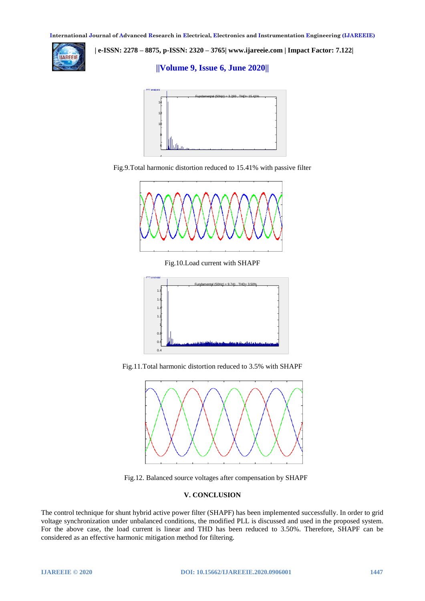

 **| e-ISSN: 2278 – 8875, p-ISSN: 2320 – 3765| [www.ijareeie.com](http://www.ijareeie.com/) | Impact Factor: 7.122|** 

## **||Volume 9, Issue 6, June 2020||**







Fig.10.Load current with SHAPF







Fig.12. Balanced source voltages after compensation by SHAPF

#### **V. CONCLUSION**

The control technique for shunt hybrid active power filter (SHAPF) has been implemented successfully. In order to grid voltage synchronization under unbalanced conditions, the modified PLL is discussed and used in the proposed system. For the above case, the load current is linear and THD has been reduced to 3.50%. Therefore, SHAPF can be considered as an effective harmonic mitigation method for filtering.